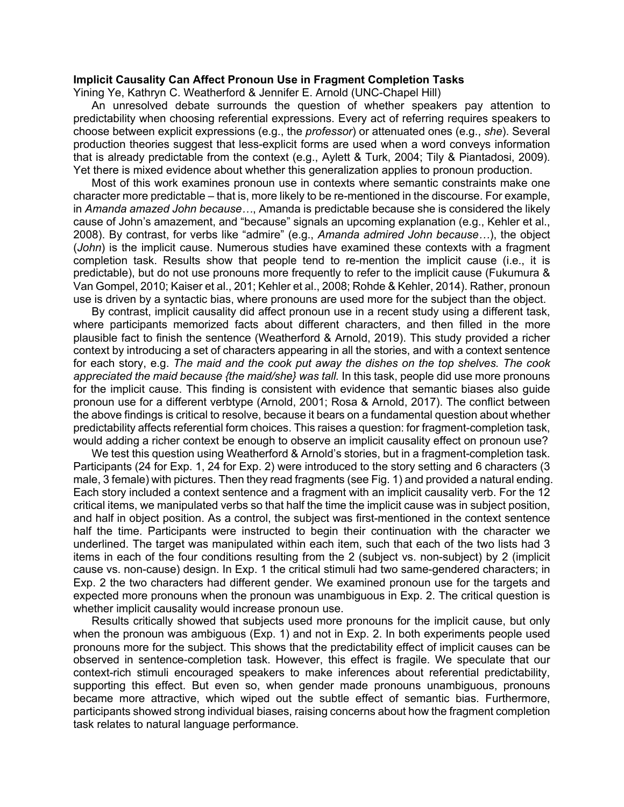## **Implicit Causality Can Affect Pronoun Use in Fragment Completion Tasks**

Yining Ye, Kathryn C. Weatherford & Jennifer E. Arnold (UNC-Chapel Hill)

An unresolved debate surrounds the question of whether speakers pay attention to predictability when choosing referential expressions. Every act of referring requires speakers to choose between explicit expressions (e.g., the *professor*) or attenuated ones (e.g., *she*). Several production theories suggest that less-explicit forms are used when a word conveys information that is already predictable from the context (e.g., Aylett & Turk, 2004; Tily & Piantadosi, 2009). Yet there is mixed evidence about whether this generalization applies to pronoun production.

Most of this work examines pronoun use in contexts where semantic constraints make one character more predictable – that is, more likely to be re-mentioned in the discourse. For example, in *Amanda amazed John because…*, Amanda is predictable because she is considered the likely cause of John's amazement, and "because" signals an upcoming explanation (e.g., Kehler et al., 2008). By contrast, for verbs like "admire" (e.g., *Amanda admired John because…*), the object (*John*) is the implicit cause. Numerous studies have examined these contexts with a fragment completion task. Results show that people tend to re-mention the implicit cause (i.e., it is predictable), but do not use pronouns more frequently to refer to the implicit cause (Fukumura & Van Gompel, 2010; Kaiser et al., 201; Kehler et al., 2008; Rohde & Kehler, 2014). Rather, pronoun use is driven by a syntactic bias, where pronouns are used more for the subject than the object.

By contrast, implicit causality did affect pronoun use in a recent study using a different task, where participants memorized facts about different characters, and then filled in the more plausible fact to finish the sentence (Weatherford & Arnold, 2019). This study provided a richer context by introducing a set of characters appearing in all the stories, and with a context sentence for each story, e.g. *The maid and the cook put away the dishes on the top shelves. The cook appreciated the maid because {the maid/she} was tall.* In this task, people did use more pronouns for the implicit cause. This finding is consistent with evidence that semantic biases also guide pronoun use for a different verbtype (Arnold, 2001; Rosa & Arnold, 2017). The conflict between the above findings is critical to resolve, because it bears on a fundamental question about whether predictability affects referential form choices. This raises a question: for fragment-completion task, would adding a richer context be enough to observe an implicit causality effect on pronoun use?

We test this question using Weatherford & Arnold's stories, but in a fragment-completion task. Participants (24 for Exp. 1, 24 for Exp. 2) were introduced to the story setting and 6 characters (3 male, 3 female) with pictures. Then they read fragments (see Fig. 1) and provided a natural ending. Each story included a context sentence and a fragment with an implicit causality verb. For the 12 critical items, we manipulated verbs so that half the time the implicit cause was in subject position, and half in object position. As a control, the subject was first-mentioned in the context sentence half the time. Participants were instructed to begin their continuation with the character we underlined. The target was manipulated within each item, such that each of the two lists had 3 items in each of the four conditions resulting from the 2 (subject vs. non-subject) by 2 (implicit cause vs. non-cause) design. In Exp. 1 the critical stimuli had two same-gendered characters; in Exp. 2 the two characters had different gender. We examined pronoun use for the targets and expected more pronouns when the pronoun was unambiguous in Exp. 2. The critical question is whether implicit causality would increase pronoun use.

Results critically showed that subjects used more pronouns for the implicit cause, but only when the pronoun was ambiguous (Exp. 1) and not in Exp. 2. In both experiments people used pronouns more for the subject. This shows that the predictability effect of implicit causes can be observed in sentence-completion task. However, this effect is fragile. We speculate that our context-rich stimuli encouraged speakers to make inferences about referential predictability, supporting this effect. But even so, when gender made pronouns unambiguous, pronouns became more attractive, which wiped out the subtle effect of semantic bias. Furthermore, participants showed strong individual biases, raising concerns about how the fragment completion task relates to natural language performance.